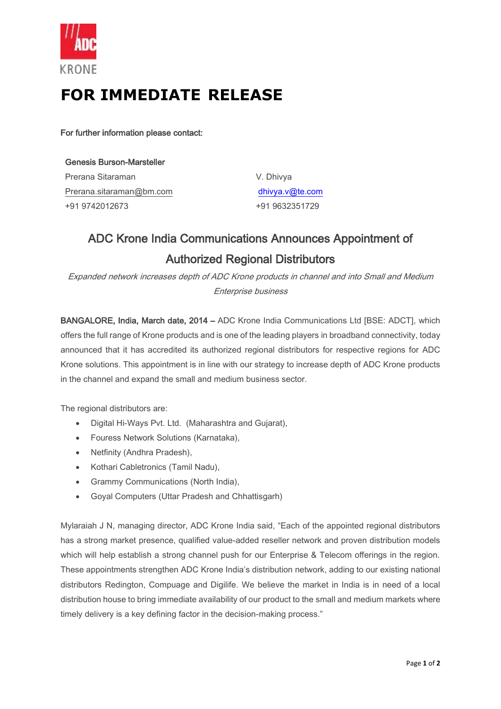

## **FOR IMMEDIATE RELEASE**

For further information please contact:

| <b>Genesis Burson-Marsteller</b> |
|----------------------------------|
| Prerana Sitaraman                |
| Prerana.sitaraman@bm.com         |
| +91 9742012673                   |

V. Dhivya [dhivya.v@te.com](mailto:dhivya.v@te.com) +91 9632351729

## ADC Krone India Communications Announces Appointment of Authorized Regional Distributors

Expanded network increases depth of ADC Krone products in channel and into Small and Medium Enterprise business

BANGALORE, India, March date, 2014 – ADC Krone India Communications Ltd [BSE: ADCT], which offers the full range of Krone products and is one of the leading players in broadband connectivity, today announced that it has accredited its authorized regional distributors for respective regions for ADC Krone solutions. This appointment is in line with our strategy to increase depth of ADC Krone products in the channel and expand the small and medium business sector.

The regional distributors are:

- Digital Hi-Ways Pvt. Ltd. (Maharashtra and Gujarat),
- Fouress Network Solutions (Karnataka),
- Netfinity (Andhra Pradesh),
- Kothari Cabletronics (Tamil Nadu),
- Grammy Communications (North India),
- Goyal Computers (Uttar Pradesh and Chhattisgarh)

Mylaraiah J N, managing director, ADC Krone India said, "Each of the appointed regional distributors has a strong market presence, qualified value-added reseller network and proven distribution models which will help establish a strong channel push for our Enterprise & Telecom offerings in the region. These appointments strengthen ADC Krone India's distribution network, adding to our existing national distributors Redington, Compuage and Digilife. We believe the market in India is in need of a local distribution house to bring immediate availability of our product to the small and medium markets where timely delivery is a key defining factor in the decision-making process."